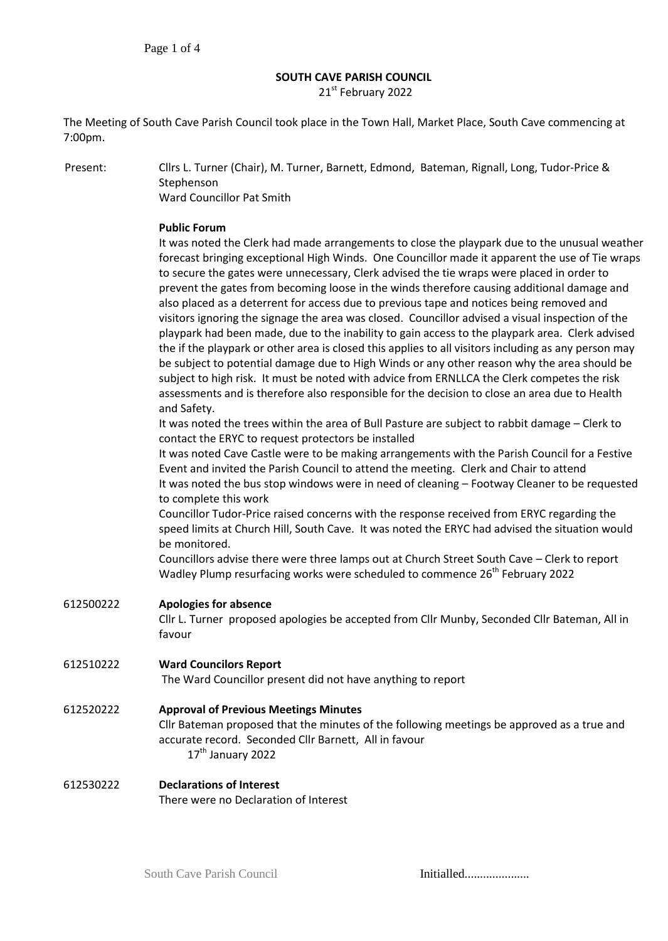### **SOUTH CAVE PARISH COUNCIL**

21st February 2022

The Meeting of South Cave Parish Council took place in the Town Hall, Market Place, South Cave commencing at 7:00pm.

Present: Cllrs L. Turner (Chair), M. Turner, Barnett, Edmond, Bateman, Rignall, Long, Tudor-Price & Stephenson

Ward Councillor Pat Smith

#### **Public Forum**

It was noted the Clerk had made arrangements to close the playpark due to the unusual weather forecast bringing exceptional High Winds. One Councillor made it apparent the use of Tie wraps to secure the gates were unnecessary, Clerk advised the tie wraps were placed in order to prevent the gates from becoming loose in the winds therefore causing additional damage and also placed as a deterrent for access due to previous tape and notices being removed and visitors ignoring the signage the area was closed. Councillor advised a visual inspection of the playpark had been made, due to the inability to gain access to the playpark area. Clerk advised the if the playpark or other area is closed this applies to all visitors including as any person may be subject to potential damage due to High Winds or any other reason why the area should be subject to high risk. It must be noted with advice from ERNLLCA the Clerk competes the risk assessments and is therefore also responsible for the decision to close an area due to Health and Safety.

It was noted the trees within the area of Bull Pasture are subject to rabbit damage – Clerk to contact the ERYC to request protectors be installed

It was noted Cave Castle were to be making arrangements with the Parish Council for a Festive Event and invited the Parish Council to attend the meeting. Clerk and Chair to attend It was noted the bus stop windows were in need of cleaning – Footway Cleaner to be requested to complete this work

Councillor Tudor-Price raised concerns with the response received from ERYC regarding the speed limits at Church Hill, South Cave. It was noted the ERYC had advised the situation would be monitored.

Councillors advise there were three lamps out at Church Street South Cave – Clerk to report Wadley Plump resurfacing works were scheduled to commence  $26<sup>th</sup>$  February 2022

# 612500222 **Apologies for absence** Cllr L. Turner proposed apologies be accepted from Cllr Munby, Seconded Cllr Bateman, All in favour 612510222 **Ward Councilors Report**

The Ward Councillor present did not have anything to report

### 612520222 **Approval of Previous Meetings Minutes**

Cllr Bateman proposed that the minutes of the following meetings be approved as a true and accurate record. Seconded Cllr Barnett, All in favour  $17<sup>th</sup>$  January 2022

#### 612530222 **Declarations of Interest** There were no Declaration of Interest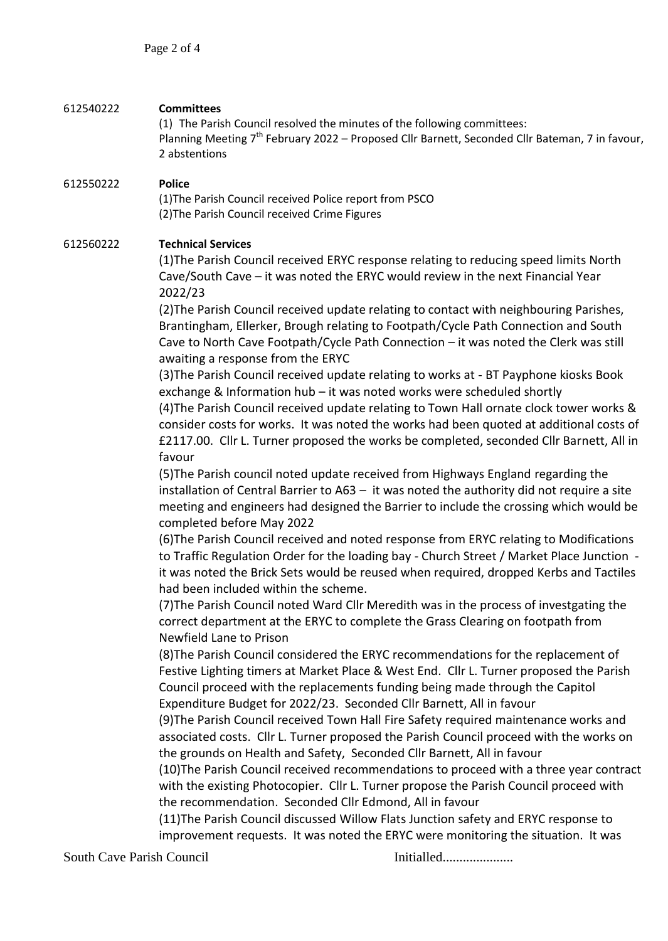| 612540222 | <b>Committees</b><br>(1) The Parish Council resolved the minutes of the following committees:<br>Planning Meeting 7 <sup>th</sup> February 2022 - Proposed Cllr Barnett, Seconded Cllr Bateman, 7 in favour,<br>2 abstentions                                                                                                                                                                                                                                                                                                                                                                                                                                                                                                                                                                                                                                                                                                                                                                                                                                                                                                                                                                                                                                                                                                                                                                                                                                                                                                                                                                                                                                                                                                                                                                                                                                                                                                                                                                                                                                                                                                                                                                                                                                                                                                                                                                                                                                                                                                                                                                                                                                                         |
|-----------|---------------------------------------------------------------------------------------------------------------------------------------------------------------------------------------------------------------------------------------------------------------------------------------------------------------------------------------------------------------------------------------------------------------------------------------------------------------------------------------------------------------------------------------------------------------------------------------------------------------------------------------------------------------------------------------------------------------------------------------------------------------------------------------------------------------------------------------------------------------------------------------------------------------------------------------------------------------------------------------------------------------------------------------------------------------------------------------------------------------------------------------------------------------------------------------------------------------------------------------------------------------------------------------------------------------------------------------------------------------------------------------------------------------------------------------------------------------------------------------------------------------------------------------------------------------------------------------------------------------------------------------------------------------------------------------------------------------------------------------------------------------------------------------------------------------------------------------------------------------------------------------------------------------------------------------------------------------------------------------------------------------------------------------------------------------------------------------------------------------------------------------------------------------------------------------------------------------------------------------------------------------------------------------------------------------------------------------------------------------------------------------------------------------------------------------------------------------------------------------------------------------------------------------------------------------------------------------------------------------------------------------------------------------------------------------|
| 612550222 | <b>Police</b><br>(1) The Parish Council received Police report from PSCO<br>(2) The Parish Council received Crime Figures                                                                                                                                                                                                                                                                                                                                                                                                                                                                                                                                                                                                                                                                                                                                                                                                                                                                                                                                                                                                                                                                                                                                                                                                                                                                                                                                                                                                                                                                                                                                                                                                                                                                                                                                                                                                                                                                                                                                                                                                                                                                                                                                                                                                                                                                                                                                                                                                                                                                                                                                                             |
| 612560222 | <b>Technical Services</b><br>(1) The Parish Council received ERYC response relating to reducing speed limits North<br>Cave/South Cave - it was noted the ERYC would review in the next Financial Year<br>2022/23<br>(2) The Parish Council received update relating to contact with neighbouring Parishes,<br>Brantingham, Ellerker, Brough relating to Footpath/Cycle Path Connection and South<br>Cave to North Cave Footpath/Cycle Path Connection - it was noted the Clerk was still<br>awaiting a response from the ERYC<br>(3) The Parish Council received update relating to works at - BT Payphone kiosks Book<br>exchange & Information hub - it was noted works were scheduled shortly<br>(4) The Parish Council received update relating to Town Hall ornate clock tower works &<br>consider costs for works. It was noted the works had been quoted at additional costs of<br>£2117.00. Cllr L. Turner proposed the works be completed, seconded Cllr Barnett, All in<br>favour<br>(5) The Parish council noted update received from Highways England regarding the<br>installation of Central Barrier to $A63 - it$ was noted the authority did not require a site<br>meeting and engineers had designed the Barrier to include the crossing which would be<br>completed before May 2022<br>(6) The Parish Council received and noted response from ERYC relating to Modifications<br>to Traffic Regulation Order for the loading bay - Church Street / Market Place Junction -<br>it was noted the Brick Sets would be reused when required, dropped Kerbs and Tactiles<br>had been included within the scheme.<br>(7) The Parish Council noted Ward Cllr Meredith was in the process of investgating the<br>correct department at the ERYC to complete the Grass Clearing on footpath from<br>Newfield Lane to Prison<br>(8) The Parish Council considered the ERYC recommendations for the replacement of<br>Festive Lighting timers at Market Place & West End. Cllr L. Turner proposed the Parish<br>Council proceed with the replacements funding being made through the Capitol<br>Expenditure Budget for 2022/23. Seconded Cllr Barnett, All in favour<br>(9) The Parish Council received Town Hall Fire Safety required maintenance works and<br>associated costs. Cllr L. Turner proposed the Parish Council proceed with the works on<br>the grounds on Health and Safety, Seconded Cllr Barnett, All in favour<br>(10) The Parish Council received recommendations to proceed with a three year contract<br>with the existing Photocopier. Cllr L. Turner propose the Parish Council proceed with<br>the recommendation. Seconded Cllr Edmond, All in favour |
|           | (11) The Parish Council discussed Willow Flats Junction safety and ERYC response to<br>improvement requests. It was noted the ERYC were monitoring the situation. It was                                                                                                                                                                                                                                                                                                                                                                                                                                                                                                                                                                                                                                                                                                                                                                                                                                                                                                                                                                                                                                                                                                                                                                                                                                                                                                                                                                                                                                                                                                                                                                                                                                                                                                                                                                                                                                                                                                                                                                                                                                                                                                                                                                                                                                                                                                                                                                                                                                                                                                              |

South Cave Parish Council **Initialled..................**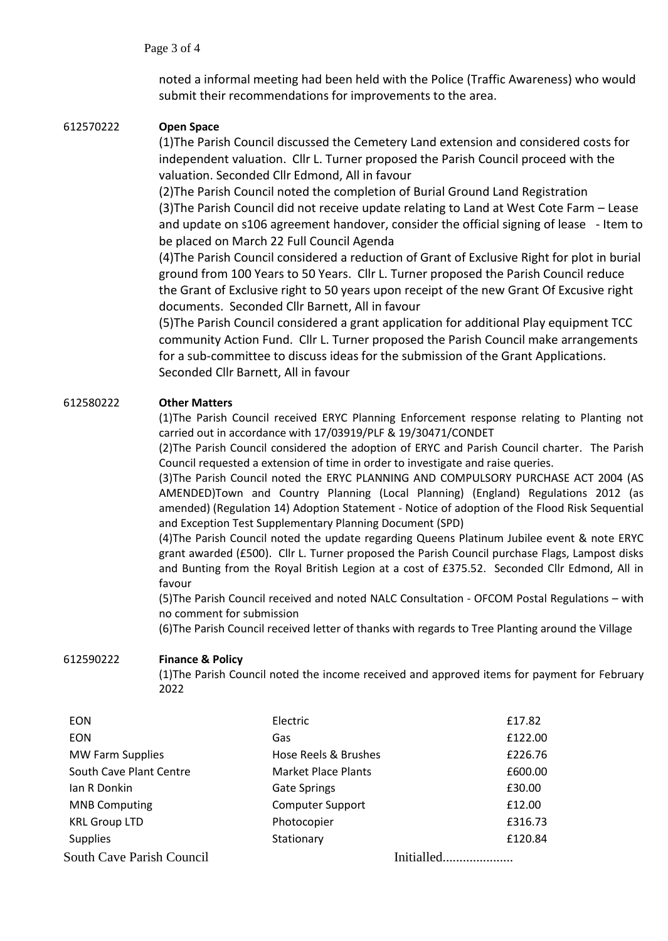noted a informal meeting had been held with the Police (Traffic Awareness) who would submit their recommendations for improvements to the area.

## 612570222 **Open Space**

(1)The Parish Council discussed the Cemetery Land extension and considered costs for independent valuation. Cllr L. Turner proposed the Parish Council proceed with the valuation. Seconded Cllr Edmond, All in favour

(2)The Parish Council noted the completion of Burial Ground Land Registration (3)The Parish Council did not receive update relating to Land at West Cote Farm – Lease and update on s106 agreement handover, consider the official signing of lease - Item to be placed on March 22 Full Council Agenda

(4)The Parish Council considered a reduction of Grant of Exclusive Right for plot in burial ground from 100 Years to 50 Years. Cllr L. Turner proposed the Parish Council reduce the Grant of Exclusive right to 50 years upon receipt of the new Grant Of Excusive right documents. Seconded Cllr Barnett, All in favour

(5)The Parish Council considered a grant application for additional Play equipment TCC community Action Fund. Cllr L. Turner proposed the Parish Council make arrangements for a sub-committee to discuss ideas for the submission of the Grant Applications. Seconded Cllr Barnett, All in favour

# 612580222 **Other Matters**

(1)The Parish Council received ERYC Planning Enforcement response relating to Planting not carried out in accordance with 17/03919/PLF & 19/30471/CONDET

(2)The Parish Council considered the adoption of ERYC and Parish Council charter. The Parish Council requested a extension of time in order to investigate and raise queries.

(3)The Parish Council noted the ERYC PLANNING AND COMPULSORY PURCHASE ACT 2004 (AS AMENDED)Town and Country Planning (Local Planning) (England) Regulations 2012 (as amended) (Regulation 14) Adoption Statement - Notice of adoption of the Flood Risk Sequential and Exception Test Supplementary Planning Document (SPD)

(4)The Parish Council noted the update regarding Queens Platinum Jubilee event & note ERYC grant awarded (£500). Cllr L. Turner proposed the Parish Council purchase Flags, Lampost disks and Bunting from the Royal British Legion at a cost of £375.52. Seconded Cllr Edmond, All in favour

(5)The Parish Council received and noted NALC Consultation - OFCOM Postal Regulations – with no comment for submission

(6)The Parish Council received letter of thanks with regards to Tree Planting around the Village

### 612590222 **Finance & Policy**

(1)The Parish Council noted the income received and approved items for payment for February 2022

| <b>EON</b>                       | Electric                   | £17.82     |
|----------------------------------|----------------------------|------------|
| <b>EON</b>                       | Gas                        | £122.00    |
| <b>MW Farm Supplies</b>          | Hose Reels & Brushes       | £226.76    |
| South Cave Plant Centre          | <b>Market Place Plants</b> | £600.00    |
| lan R Donkin                     | Gate Springs               | £30.00     |
| <b>MNB Computing</b>             | <b>Computer Support</b>    | £12.00     |
| <b>KRL Group LTD</b>             | Photocopier                | £316.73    |
| <b>Supplies</b>                  | Stationary                 | £120.84    |
| <b>South Cave Parish Council</b> |                            | Initialled |